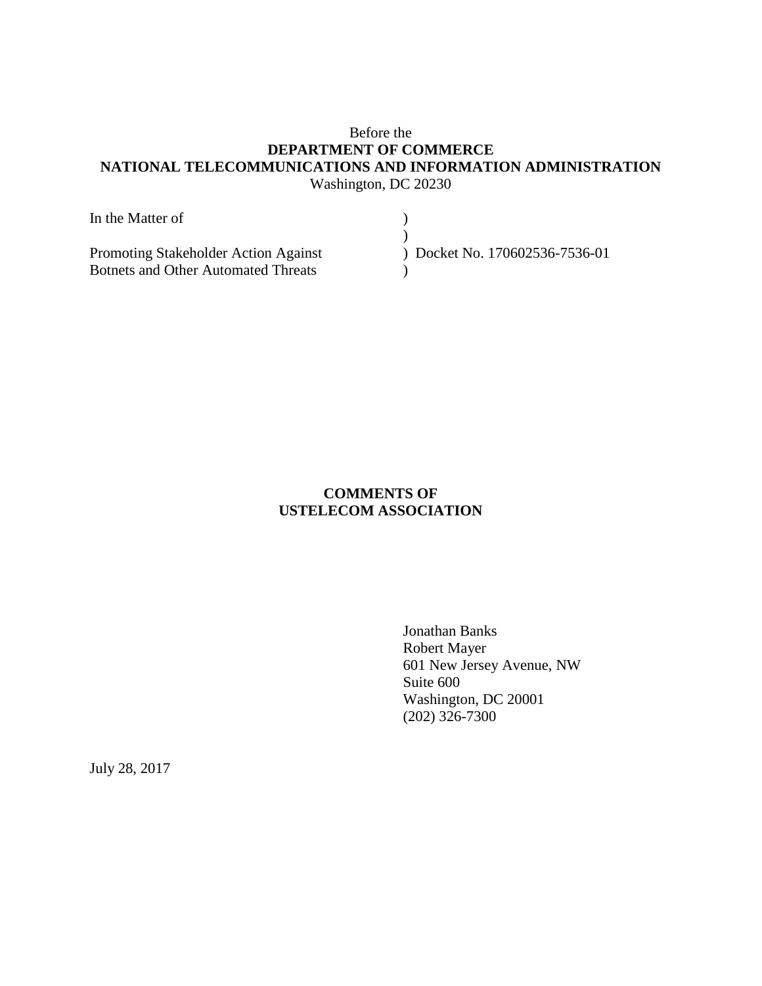# Before the **DEPARTMENT OF COMMERCE NATIONAL TELECOMMUNICATIONS AND INFORMATION ADMINISTRATION** Washington, DC 20230

| In the Matter of                           |                              |
|--------------------------------------------|------------------------------|
|                                            |                              |
| Promoting Stakeholder Action Against       | Docket No. 170602536-7536-01 |
| <b>Botnets and Other Automated Threats</b> |                              |

# **COMMENTS OF USTELECOM ASSOCIATION**

Jonathan Banks Robert Mayer 601 New Jersey Avenue, NW Suite 600 Washington, DC 20001 (202) 326-7300

July 28, 2017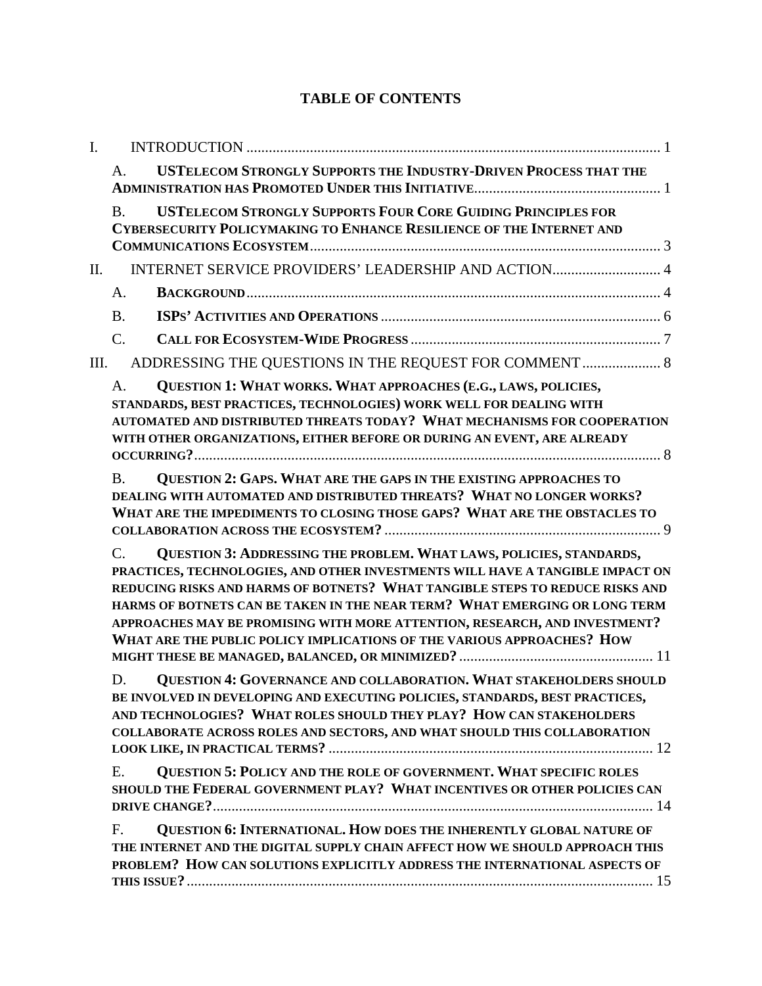# **TABLE OF CONTENTS**

| I. |                                                                                                                                                                                                                                                                                                                                                                                                                                                                                               |
|----|-----------------------------------------------------------------------------------------------------------------------------------------------------------------------------------------------------------------------------------------------------------------------------------------------------------------------------------------------------------------------------------------------------------------------------------------------------------------------------------------------|
|    | <b>USTELECOM STRONGLY SUPPORTS THE INDUSTRY-DRIVEN PROCESS THAT THE</b><br>A.                                                                                                                                                                                                                                                                                                                                                                                                                 |
|    | <b>USTELECOM STRONGLY SUPPORTS FOUR CORE GUIDING PRINCIPLES FOR</b><br><b>B.</b><br><b>CYBERSECURITY POLICYMAKING TO ENHANCE RESILIENCE OF THE INTERNET AND</b>                                                                                                                                                                                                                                                                                                                               |
| Π. | INTERNET SERVICE PROVIDERS' LEADERSHIP AND ACTION 4                                                                                                                                                                                                                                                                                                                                                                                                                                           |
|    | A.                                                                                                                                                                                                                                                                                                                                                                                                                                                                                            |
|    | <b>B.</b>                                                                                                                                                                                                                                                                                                                                                                                                                                                                                     |
|    | $\mathcal{C}$ .                                                                                                                                                                                                                                                                                                                                                                                                                                                                               |
| Ш. | ADDRESSING THE QUESTIONS IN THE REQUEST FOR COMMENT  8                                                                                                                                                                                                                                                                                                                                                                                                                                        |
|    | QUESTION 1: WHAT WORKS. WHAT APPROACHES (E.G., LAWS, POLICIES,<br>A.<br>STANDARDS, BEST PRACTICES, TECHNOLOGIES) WORK WELL FOR DEALING WITH<br>AUTOMATED AND DISTRIBUTED THREATS TODAY? WHAT MECHANISMS FOR COOPERATION<br>WITH OTHER ORGANIZATIONS, EITHER BEFORE OR DURING AN EVENT, ARE ALREADY                                                                                                                                                                                            |
|    | <b>QUESTION 2: GAPS. WHAT ARE THE GAPS IN THE EXISTING APPROACHES TO</b><br><b>B.</b><br>DEALING WITH AUTOMATED AND DISTRIBUTED THREATS? WHAT NO LONGER WORKS?<br>WHAT ARE THE IMPEDIMENTS TO CLOSING THOSE GAPS? WHAT ARE THE OBSTACLES TO                                                                                                                                                                                                                                                   |
|    | QUESTION 3: ADDRESSING THE PROBLEM. WHAT LAWS, POLICIES, STANDARDS,<br>$\mathcal{C}$ .<br>PRACTICES, TECHNOLOGIES, AND OTHER INVESTMENTS WILL HAVE A TANGIBLE IMPACT ON<br>REDUCING RISKS AND HARMS OF BOTNETS? WHAT TANGIBLE STEPS TO REDUCE RISKS AND<br>HARMS OF BOTNETS CAN BE TAKEN IN THE NEAR TERM? WHAT EMERGING OR LONG TERM<br>APPROACHES MAY BE PROMISING WITH MORE ATTENTION, RESEARCH, AND INVESTMENT?<br>WHAT ARE THE PUBLIC POLICY IMPLICATIONS OF THE VARIOUS APPROACHES? HOW |
|    | <b>QUESTION 4: GOVERNANCE AND COLLABORATION. WHAT STAKEHOLDERS SHOULD</b><br>D.<br>BE INVOLVED IN DEVELOPING AND EXECUTING POLICIES, STANDARDS, BEST PRACTICES,<br>AND TECHNOLOGIES? WHAT ROLES SHOULD THEY PLAY? HOW CAN STAKEHOLDERS<br>COLLABORATE ACROSS ROLES AND SECTORS, AND WHAT SHOULD THIS COLLABORATION                                                                                                                                                                            |
|    | QUESTION 5: POLICY AND THE ROLE OF GOVERNMENT. WHAT SPECIFIC ROLES<br>E.<br>SHOULD THE FEDERAL GOVERNMENT PLAY? WHAT INCENTIVES OR OTHER POLICIES CAN                                                                                                                                                                                                                                                                                                                                         |
|    | QUESTION 6: INTERNATIONAL. HOW DOES THE INHERENTLY GLOBAL NATURE OF<br>F.<br>THE INTERNET AND THE DIGITAL SUPPLY CHAIN AFFECT HOW WE SHOULD APPROACH THIS<br>PROBLEM? HOW CAN SOLUTIONS EXPLICITLY ADDRESS THE INTERNATIONAL ASPECTS OF                                                                                                                                                                                                                                                       |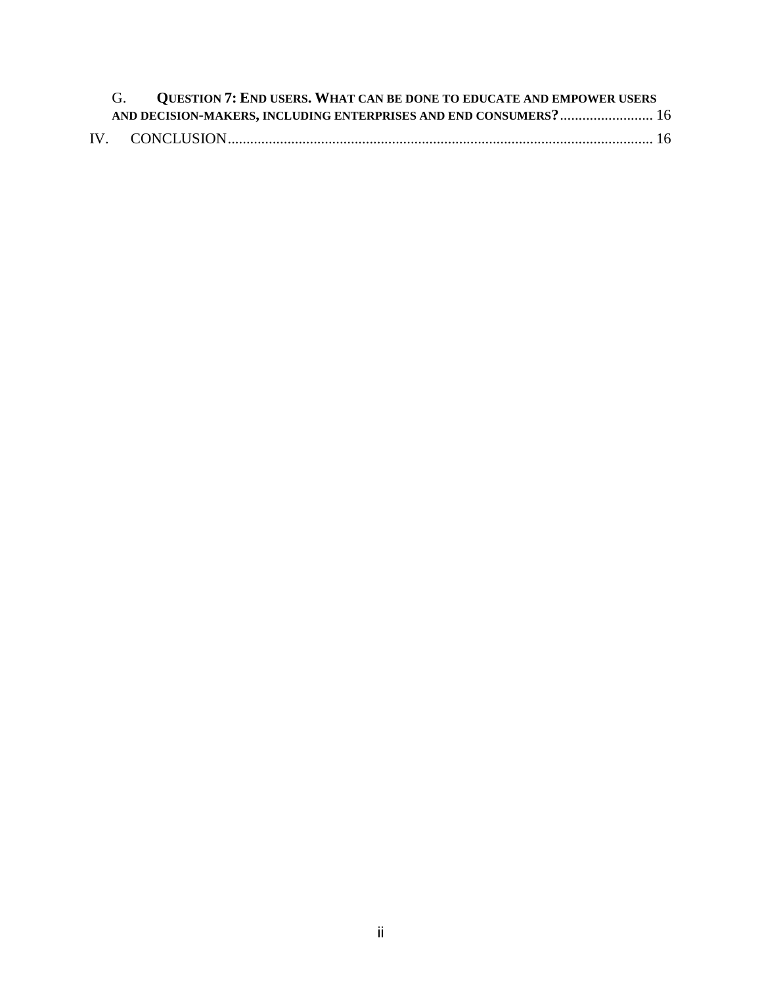| G. QUESTION 7: END USERS. WHAT CAN BE DONE TO EDUCATE AND EMPOWER USERS |  |
|-------------------------------------------------------------------------|--|
| AND DECISION-MAKERS, INCLUDING ENTERPRISES AND END CONSUMERS? 16        |  |
|                                                                         |  |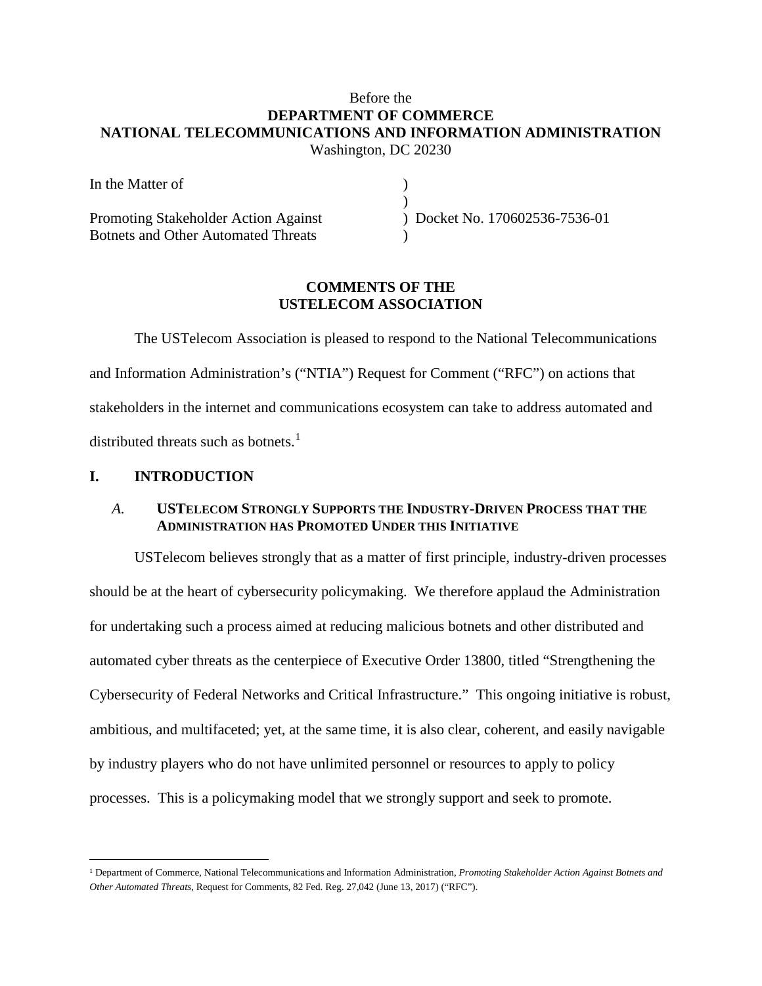# Before the **DEPARTMENT OF COMMERCE NATIONAL TELECOMMUNICATIONS AND INFORMATION ADMINISTRATION** Washington, DC 20230

| In the Matter of                           |                              |
|--------------------------------------------|------------------------------|
|                                            |                              |
| Promoting Stakeholder Action Against       | Docket No. 170602536-7536-01 |
| <b>Botnets and Other Automated Threats</b> |                              |

# **COMMENTS OF THE USTELECOM ASSOCIATION**

The USTelecom Association is pleased to respond to the National Telecommunications and Information Administration's ("NTIA") Request for Comment ("RFC") on actions that stakeholders in the internet and communications ecosystem can take to address automated and distributed threats such as botnets. $<sup>1</sup>$  $<sup>1</sup>$  $<sup>1</sup>$ </sup>

## <span id="page-3-0"></span>**I. INTRODUCTION**

 $\overline{a}$ 

## <span id="page-3-1"></span>*A.* **USTELECOM STRONGLY SUPPORTS THE INDUSTRY-DRIVEN PROCESS THAT THE ADMINISTRATION HAS PROMOTED UNDER THIS INITIATIVE**

USTelecom believes strongly that as a matter of first principle, industry-driven processes should be at the heart of cybersecurity policymaking. We therefore applaud the Administration for undertaking such a process aimed at reducing malicious botnets and other distributed and automated cyber threats as the centerpiece of Executive Order 13800, titled "Strengthening the Cybersecurity of Federal Networks and Critical Infrastructure." This ongoing initiative is robust, ambitious, and multifaceted; yet, at the same time, it is also clear, coherent, and easily navigable by industry players who do not have unlimited personnel or resources to apply to policy processes. This is a policymaking model that we strongly support and seek to promote.

<span id="page-3-2"></span><sup>1</sup> Department of Commerce, National Telecommunications and Information Administration, *Promoting Stakeholder Action Against Botnets and Other Automated Threats*, Request for Comments, 82 Fed. Reg. 27,042 (June 13, 2017) ("RFC").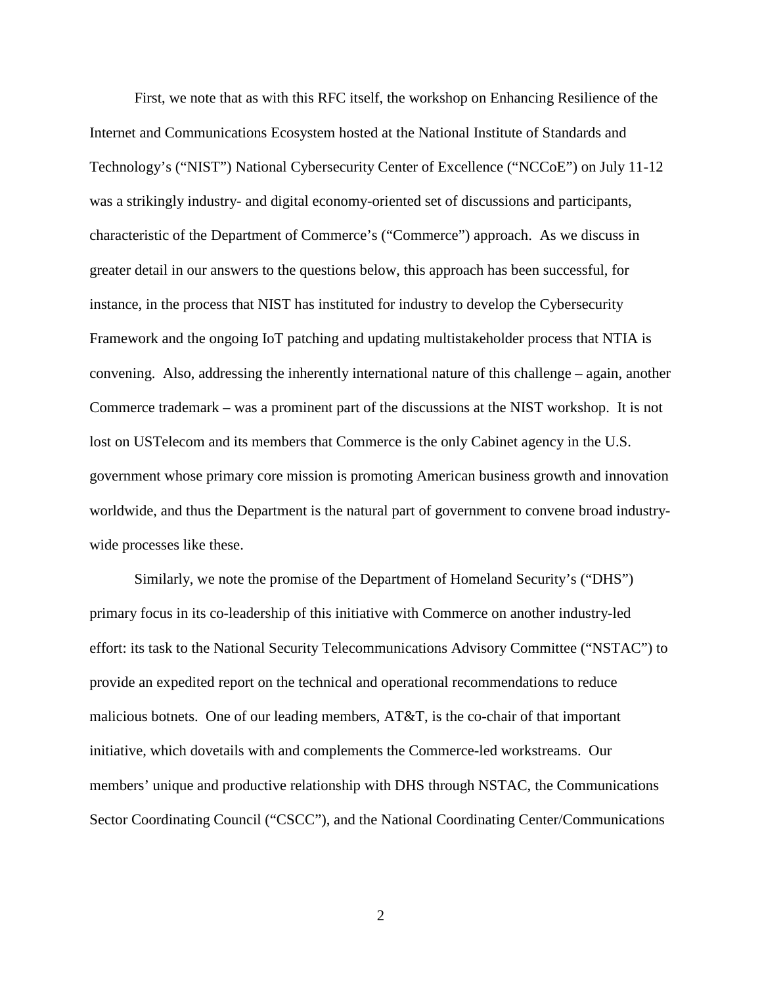First, we note that as with this RFC itself, the workshop on Enhancing Resilience of the Internet and Communications Ecosystem hosted at the National Institute of Standards and Technology's ("NIST") National Cybersecurity Center of Excellence ("NCCoE") on July 11-12 was a strikingly industry- and digital economy-oriented set of discussions and participants, characteristic of the Department of Commerce's ("Commerce") approach. As we discuss in greater detail in our answers to the questions below, this approach has been successful, for instance, in the process that NIST has instituted for industry to develop the Cybersecurity Framework and the ongoing IoT patching and updating multistakeholder process that NTIA is convening. Also, addressing the inherently international nature of this challenge – again, another Commerce trademark – was a prominent part of the discussions at the NIST workshop. It is not lost on USTelecom and its members that Commerce is the only Cabinet agency in the U.S. government whose primary core mission is promoting American business growth and innovation worldwide, and thus the Department is the natural part of government to convene broad industrywide processes like these.

Similarly, we note the promise of the Department of Homeland Security's ("DHS") primary focus in its co-leadership of this initiative with Commerce on another industry-led effort: its task to the National Security Telecommunications Advisory Committee ("NSTAC") to provide an expedited report on the technical and operational recommendations to reduce malicious botnets. One of our leading members, AT&T, is the co-chair of that important initiative, which dovetails with and complements the Commerce-led workstreams. Our members' unique and productive relationship with DHS through NSTAC, the Communications Sector Coordinating Council ("CSCC"), and the National Coordinating Center/Communications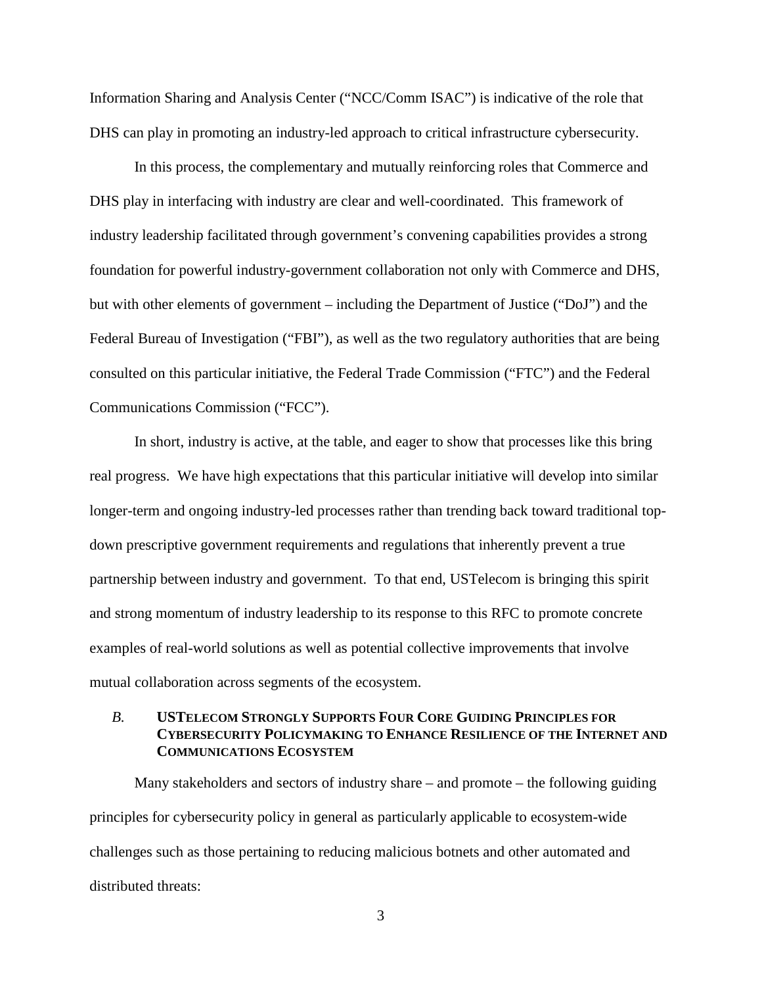Information Sharing and Analysis Center ("NCC/Comm ISAC") is indicative of the role that DHS can play in promoting an industry-led approach to critical infrastructure cybersecurity.

In this process, the complementary and mutually reinforcing roles that Commerce and DHS play in interfacing with industry are clear and well-coordinated. This framework of industry leadership facilitated through government's convening capabilities provides a strong foundation for powerful industry-government collaboration not only with Commerce and DHS, but with other elements of government – including the Department of Justice ("DoJ") and the Federal Bureau of Investigation ("FBI"), as well as the two regulatory authorities that are being consulted on this particular initiative, the Federal Trade Commission ("FTC") and the Federal Communications Commission ("FCC").

In short, industry is active, at the table, and eager to show that processes like this bring real progress. We have high expectations that this particular initiative will develop into similar longer-term and ongoing industry-led processes rather than trending back toward traditional topdown prescriptive government requirements and regulations that inherently prevent a true partnership between industry and government. To that end, USTelecom is bringing this spirit and strong momentum of industry leadership to its response to this RFC to promote concrete examples of real-world solutions as well as potential collective improvements that involve mutual collaboration across segments of the ecosystem.

## <span id="page-5-0"></span>*B.* **USTELECOM STRONGLY SUPPORTS FOUR CORE GUIDING PRINCIPLES FOR CYBERSECURITY POLICYMAKING TO ENHANCE RESILIENCE OF THE INTERNET AND COMMUNICATIONS ECOSYSTEM**

Many stakeholders and sectors of industry share – and promote – the following guiding principles for cybersecurity policy in general as particularly applicable to ecosystem-wide challenges such as those pertaining to reducing malicious botnets and other automated and distributed threats: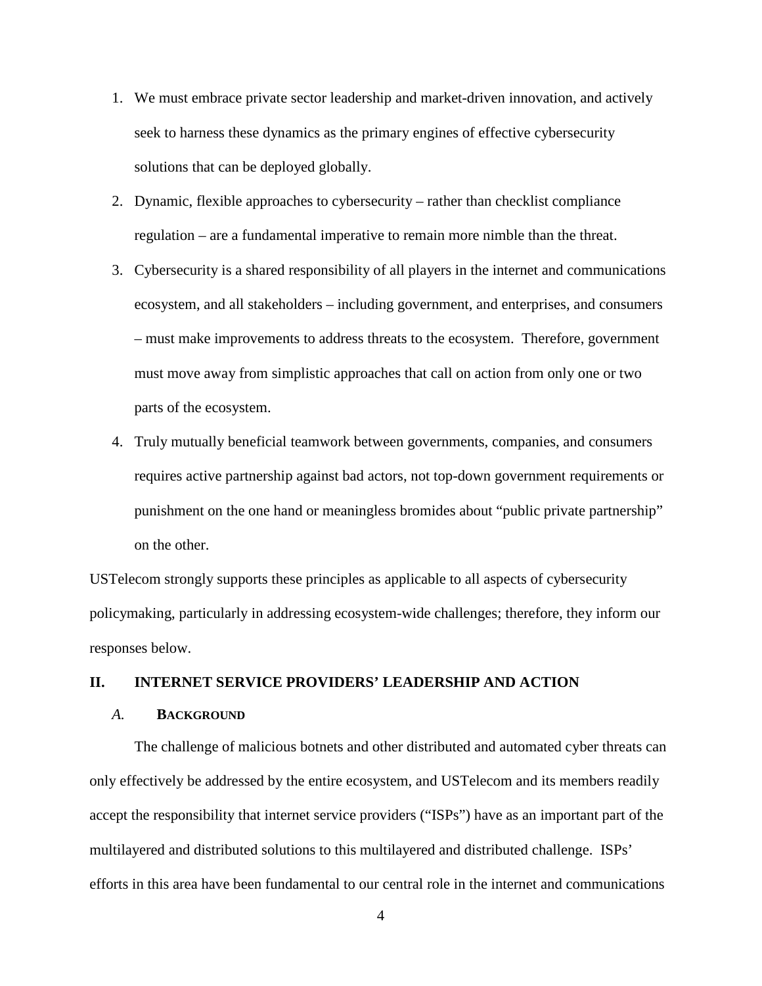- 1. We must embrace private sector leadership and market-driven innovation, and actively seek to harness these dynamics as the primary engines of effective cybersecurity solutions that can be deployed globally.
- 2. Dynamic, flexible approaches to cybersecurity rather than checklist compliance regulation – are a fundamental imperative to remain more nimble than the threat.
- 3. Cybersecurity is a shared responsibility of all players in the internet and communications ecosystem, and all stakeholders – including government, and enterprises, and consumers – must make improvements to address threats to the ecosystem. Therefore, government must move away from simplistic approaches that call on action from only one or two parts of the ecosystem.
- 4. Truly mutually beneficial teamwork between governments, companies, and consumers requires active partnership against bad actors, not top-down government requirements or punishment on the one hand or meaningless bromides about "public private partnership" on the other.

USTelecom strongly supports these principles as applicable to all aspects of cybersecurity policymaking, particularly in addressing ecosystem-wide challenges; therefore, they inform our responses below.

### <span id="page-6-0"></span>**II. INTERNET SERVICE PROVIDERS' LEADERSHIP AND ACTION**

#### <span id="page-6-1"></span>*A.* **BACKGROUND**

The challenge of malicious botnets and other distributed and automated cyber threats can only effectively be addressed by the entire ecosystem, and USTelecom and its members readily accept the responsibility that internet service providers ("ISPs") have as an important part of the multilayered and distributed solutions to this multilayered and distributed challenge. ISPs' efforts in this area have been fundamental to our central role in the internet and communications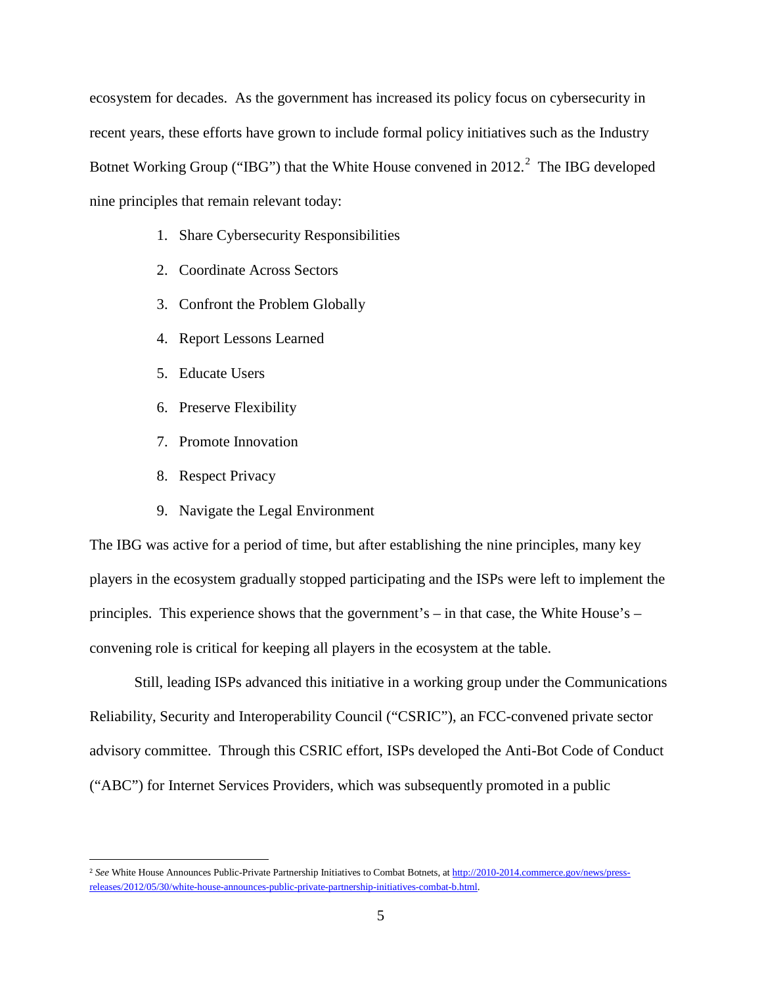ecosystem for decades. As the government has increased its policy focus on cybersecurity in recent years, these efforts have grown to include formal policy initiatives such as the Industry Botnet Working Group ("IBG") that the White House convened in  $2012.<sup>2</sup>$  $2012.<sup>2</sup>$  The IBG developed nine principles that remain relevant today:

- 1. Share Cybersecurity Responsibilities
- 2. Coordinate Across Sectors
- 3. Confront the Problem Globally
- 4. Report Lessons Learned
- 5. Educate Users
- 6. Preserve Flexibility
- 7. Promote Innovation
- 8. Respect Privacy

 $\overline{a}$ 

9. Navigate the Legal Environment

The IBG was active for a period of time, but after establishing the nine principles, many key players in the ecosystem gradually stopped participating and the ISPs were left to implement the principles. This experience shows that the government's – in that case, the White House's – convening role is critical for keeping all players in the ecosystem at the table.

Still, leading ISPs advanced this initiative in a working group under the Communications Reliability, Security and Interoperability Council ("CSRIC"), an FCC-convened private sector advisory committee. Through this CSRIC effort, ISPs developed the Anti-Bot Code of Conduct ("ABC") for Internet Services Providers, which was subsequently promoted in a public

<span id="page-7-0"></span><sup>2</sup> *See* White House Announces Public-Private Partnership Initiatives to Combat Botnets, a[t http://2010-2014.commerce.gov/news/press](http://2010-2014.commerce.gov/news/press-releases/2012/05/30/white-house-announces-public-private-partnership-initiatives-combat-b.html)[releases/2012/05/30/white-house-announces-public-private-partnership-initiatives-combat-b.html.](http://2010-2014.commerce.gov/news/press-releases/2012/05/30/white-house-announces-public-private-partnership-initiatives-combat-b.html)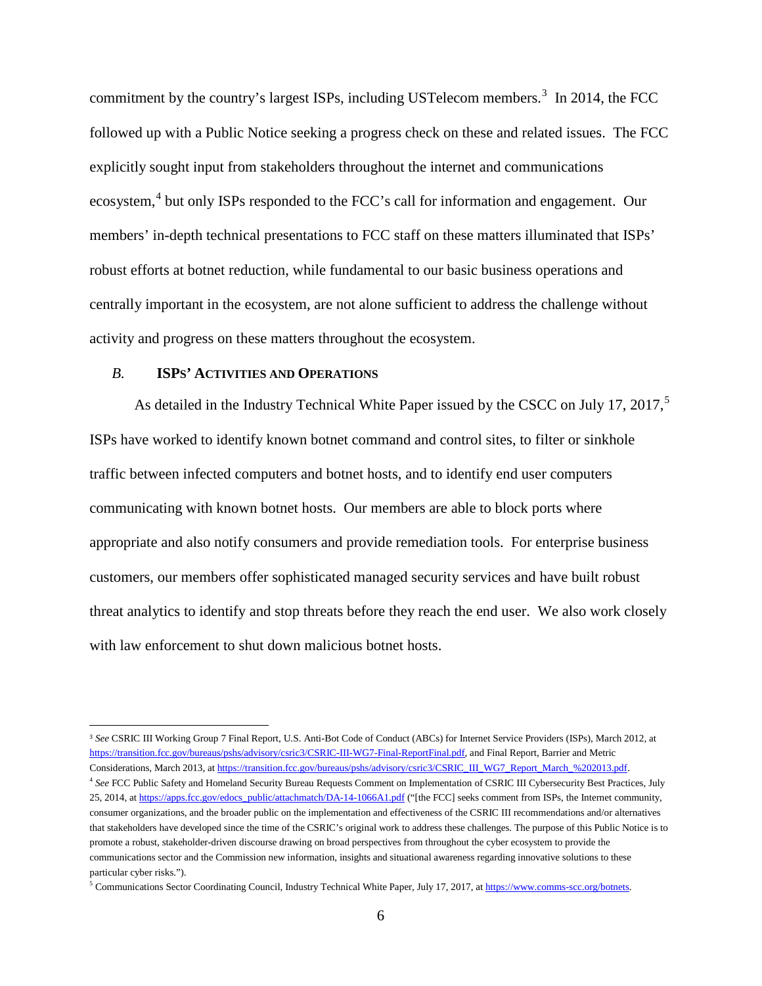commitment by the country's largest ISPs, including USTelecom members.<sup>[3](#page-8-1)</sup> In 2014, the FCC followed up with a Public Notice seeking a progress check on these and related issues. The FCC explicitly sought input from stakeholders throughout the internet and communications ecosystem,<sup>[4](#page-8-2)</sup> but only ISPs responded to the FCC's call for information and engagement. Our members' in-depth technical presentations to FCC staff on these matters illuminated that ISPs' robust efforts at botnet reduction, while fundamental to our basic business operations and centrally important in the ecosystem, are not alone sufficient to address the challenge without activity and progress on these matters throughout the ecosystem.

## <span id="page-8-0"></span>*B.* **ISPS' ACTIVITIES AND OPERATIONS**

 $\overline{a}$ 

As detailed in the Industry Technical White Paper issued by the CSCC on July 17, 2017,<sup>[5](#page-8-3)</sup> ISPs have worked to identify known botnet command and control sites, to filter or sinkhole traffic between infected computers and botnet hosts, and to identify end user computers communicating with known botnet hosts. Our members are able to block ports where appropriate and also notify consumers and provide remediation tools. For enterprise business customers, our members offer sophisticated managed security services and have built robust threat analytics to identify and stop threats before they reach the end user. We also work closely with law enforcement to shut down malicious botnet hosts.

<span id="page-8-1"></span><sup>3</sup> *See* CSRIC III Working Group 7 Final Report, U.S. Anti-Bot Code of Conduct (ABCs) for Internet Service Providers (ISPs), March 2012, at [https://transition.fcc.gov/bureaus/pshs/advisory/csric3/CSRIC-III-WG7-Final-ReportFinal.pdf,](https://transition.fcc.gov/bureaus/pshs/advisory/csric3/CSRIC-III-WG7-Final-ReportFinal.pdf) and Final Report, Barrier and Metric Considerations, March 2013, a[t https://transition.fcc.gov/bureaus/pshs/advisory/csric3/CSRIC\\_III\\_WG7\\_Report\\_March\\_%202013.pdf.](https://transition.fcc.gov/bureaus/pshs/advisory/csric3/CSRIC_III_WG7_Report_March_%202013.pdf) <sup>4</sup> *See* FCC Public Safety and Homeland Security Bureau Requests Comment on Implementation of CSRIC III Cybersecurity Best Practices, July

<span id="page-8-2"></span><sup>25, 2014,</sup> at [https://apps.fcc.gov/edocs\\_public/attachmatch/DA-14-1066A1.pdf](https://apps.fcc.gov/edocs_public/attachmatch/DA-14-1066A1.pdf) ("[the FCC] seeks comment from ISPs, the Internet community, consumer organizations, and the broader public on the implementation and effectiveness of the CSRIC III recommendations and/or alternatives that stakeholders have developed since the time of the CSRIC's original work to address these challenges. The purpose of this Public Notice is to promote a robust, stakeholder-driven discourse drawing on broad perspectives from throughout the cyber ecosystem to provide the communications sector and the Commission new information, insights and situational awareness regarding innovative solutions to these particular cyber risks.").

<span id="page-8-3"></span> $5$  Communications Sector Coordinating Council, Industry Technical White Paper, July 17, 2017, at https://www.comms-scc.org/botnets.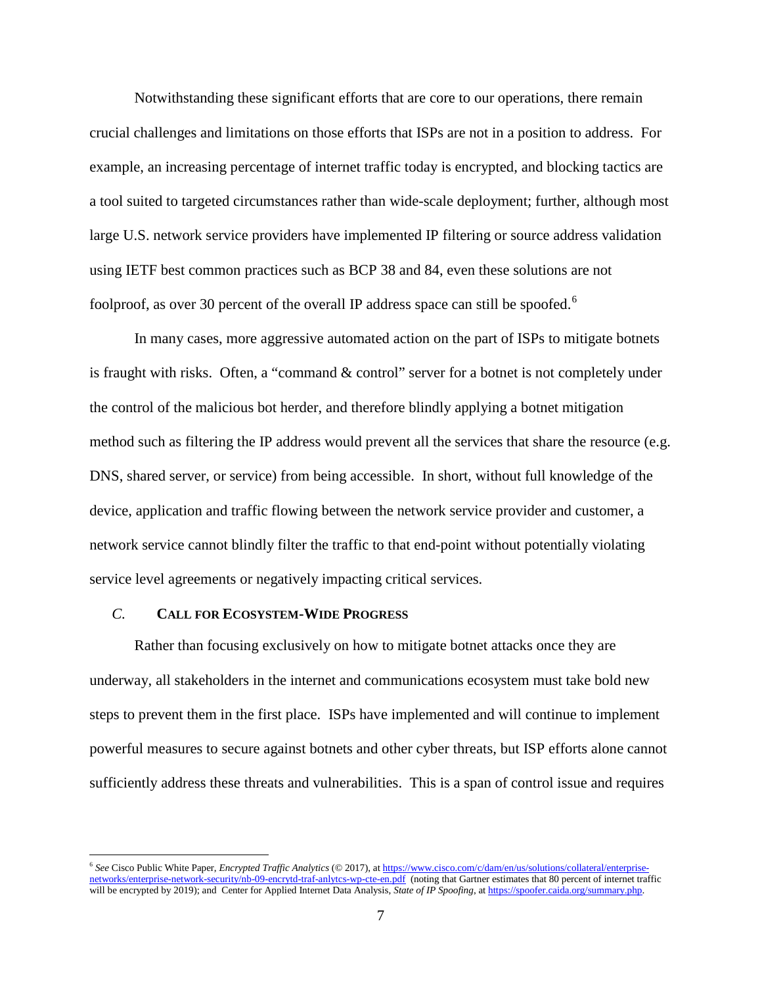Notwithstanding these significant efforts that are core to our operations, there remain crucial challenges and limitations on those efforts that ISPs are not in a position to address. For example, an increasing percentage of internet traffic today is encrypted, and blocking tactics are a tool suited to targeted circumstances rather than wide-scale deployment; further, although most large U.S. network service providers have implemented IP filtering or source address validation using IETF best common practices such as BCP 38 and 84, even these solutions are not foolproof, as over 30 percent of the overall IP address space can still be spoofed.<sup>[6](#page-9-1)</sup>

In many cases, more aggressive automated action on the part of ISPs to mitigate botnets is fraught with risks. Often, a "command & control" server for a botnet is not completely under the control of the malicious bot herder, and therefore blindly applying a botnet mitigation method such as filtering the IP address would prevent all the services that share the resource (e.g. DNS, shared server, or service) from being accessible. In short, without full knowledge of the device, application and traffic flowing between the network service provider and customer, a network service cannot blindly filter the traffic to that end-point without potentially violating service level agreements or negatively impacting critical services.

#### <span id="page-9-0"></span>*C.* **CALL FOR ECOSYSTEM-WIDE PROGRESS**

Rather than focusing exclusively on how to mitigate botnet attacks once they are underway, all stakeholders in the internet and communications ecosystem must take bold new steps to prevent them in the first place. ISPs have implemented and will continue to implement powerful measures to secure against botnets and other cyber threats, but ISP efforts alone cannot sufficiently address these threats and vulnerabilities. This is a span of control issue and requires

<span id="page-9-1"></span><sup>6</sup> *See* Cisco Public White Paper, *Encrypted Traffic Analytics* (© 2017), a[t https://www.cisco.com/c/dam/en/us/solutions/collateral/enterprise](https://www.cisco.com/c/dam/en/us/solutions/collateral/enterprise-networks/enterprise-network-security/nb-09-encrytd-traf-anlytcs-wp-cte-en.pdf)[networks/enterprise-network-security/nb-09-encrytd-traf-anlytcs-wp-cte-en.pdf](https://www.cisco.com/c/dam/en/us/solutions/collateral/enterprise-networks/enterprise-network-security/nb-09-encrytd-traf-anlytcs-wp-cte-en.pdf) (noting that Gartner estimates that 80 percent of internet traffic will be encrypted by 2019); and Center for Applied Internet Data Analysis, *State of IP Spoofing*, a[t https://spoofer.caida.org/summary.php.](https://spoofer.caida.org/summary.php)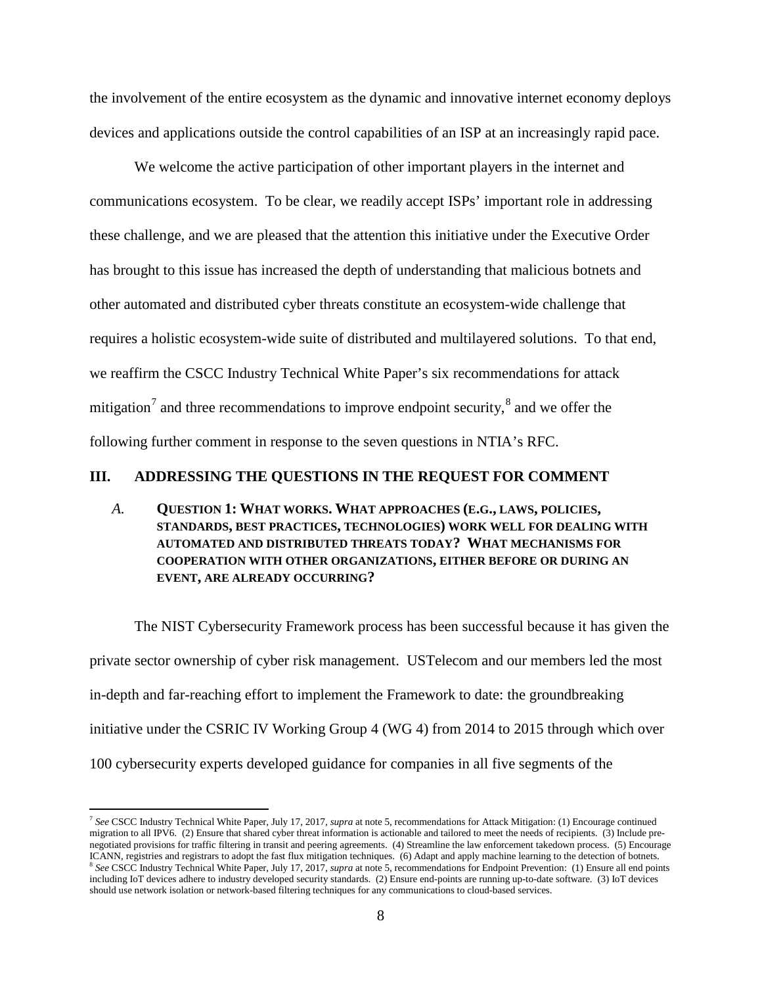the involvement of the entire ecosystem as the dynamic and innovative internet economy deploys devices and applications outside the control capabilities of an ISP at an increasingly rapid pace.

We welcome the active participation of other important players in the internet and communications ecosystem. To be clear, we readily accept ISPs' important role in addressing these challenge, and we are pleased that the attention this initiative under the Executive Order has brought to this issue has increased the depth of understanding that malicious botnets and other automated and distributed cyber threats constitute an ecosystem-wide challenge that requires a holistic ecosystem-wide suite of distributed and multilayered solutions. To that end, we reaffirm the CSCC Industry Technical White Paper's six recommendations for attack mitigation<sup>[7](#page-10-2)</sup> and three recommendations to improve endpoint security,<sup>[8](#page-10-3)</sup> and we offer the following further comment in response to the seven questions in NTIA's RFC.

#### <span id="page-10-0"></span>**III. ADDRESSING THE QUESTIONS IN THE REQUEST FOR COMMENT**

<span id="page-10-1"></span>*A.* **QUESTION 1: WHAT WORKS. WHAT APPROACHES (E.G., LAWS, POLICIES, STANDARDS, BEST PRACTICES, TECHNOLOGIES) WORK WELL FOR DEALING WITH AUTOMATED AND DISTRIBUTED THREATS TODAY? WHAT MECHANISMS FOR COOPERATION WITH OTHER ORGANIZATIONS, EITHER BEFORE OR DURING AN EVENT, ARE ALREADY OCCURRING?**

The NIST Cybersecurity Framework process has been successful because it has given the private sector ownership of cyber risk management. USTelecom and our members led the most in-depth and far-reaching effort to implement the Framework to date: the groundbreaking initiative under the CSRIC IV Working Group 4 (WG 4) from 2014 to 2015 through which over 100 cybersecurity experts developed guidance for companies in all five segments of the

<span id="page-10-2"></span><sup>7</sup> *See* CSCC Industry Technical White Paper, July 17, 2017, *supra* at note 5, recommendations for Attack Mitigation: (1) Encourage continued migration to all IPV6. (2) Ensure that shared cyber threat information is actionable and tailored to meet the needs of recipients. (3) Include prenegotiated provisions for traffic filtering in transit and peering agreements. (4) Streamline the law enforcement takedown process. (5) Encourage ICANN, registries and registrars to adopt the fast flux mitigation technique  $8$  See CSCC Industry Technical White Paper, July 17, 2017, *supra* at note 5, recommendations for Endpoint Prevention: (1) Ensure all end points

<span id="page-10-3"></span>including IoT devices adhere to industry developed security standards. (2) Ensure end-points are running up-to-date software. (3) IoT devices should use network isolation or network-based filtering techniques for any communications to cloud-based services.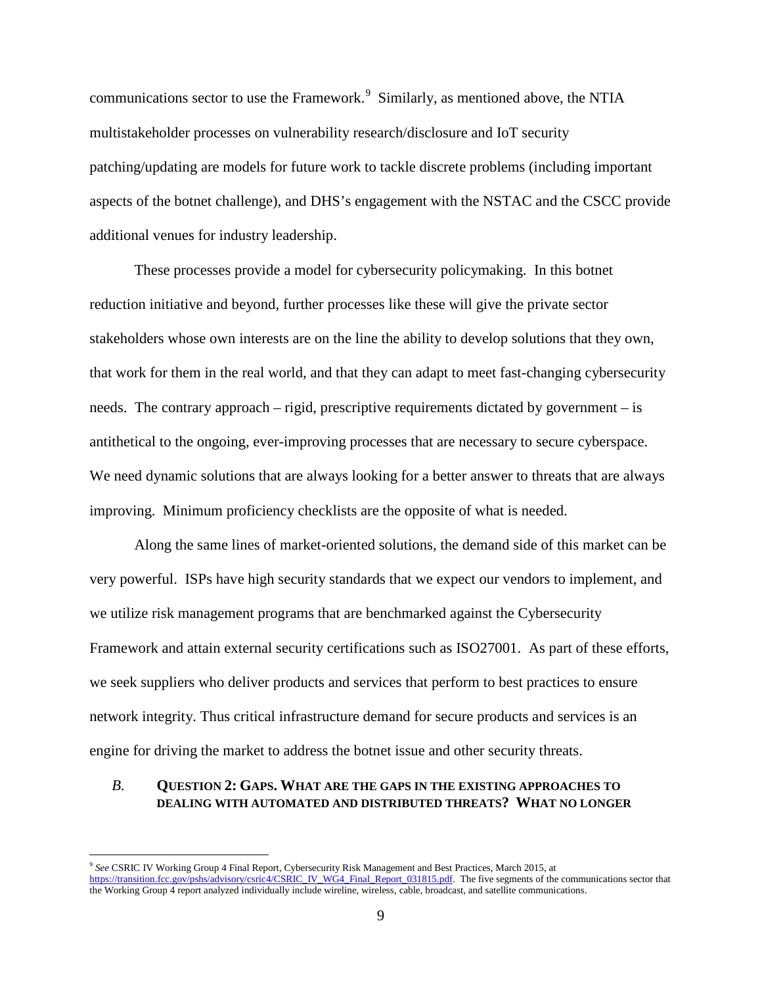communications sector to use the Framework.<sup>[9](#page-11-1)</sup> Similarly, as mentioned above, the NTIA multistakeholder processes on vulnerability research/disclosure and IoT security patching/updating are models for future work to tackle discrete problems (including important aspects of the botnet challenge), and DHS's engagement with the NSTAC and the CSCC provide additional venues for industry leadership.

These processes provide a model for cybersecurity policymaking. In this botnet reduction initiative and beyond, further processes like these will give the private sector stakeholders whose own interests are on the line the ability to develop solutions that they own, that work for them in the real world, and that they can adapt to meet fast-changing cybersecurity needs. The contrary approach – rigid, prescriptive requirements dictated by government – is antithetical to the ongoing, ever-improving processes that are necessary to secure cyberspace. We need dynamic solutions that are always looking for a better answer to threats that are always improving. Minimum proficiency checklists are the opposite of what is needed.

Along the same lines of market-oriented solutions, the demand side of this market can be very powerful. ISPs have high security standards that we expect our vendors to implement, and we utilize risk management programs that are benchmarked against the Cybersecurity Framework and attain external security certifications such as ISO27001. As part of these efforts, we seek suppliers who deliver products and services that perform to best practices to ensure network integrity. Thus critical infrastructure demand for secure products and services is an engine for driving the market to address the botnet issue and other security threats.

#### <span id="page-11-0"></span>*B.* **QUESTION 2: GAPS. WHAT ARE THE GAPS IN THE EXISTING APPROACHES TO DEALING WITH AUTOMATED AND DISTRIBUTED THREATS? WHAT NO LONGER**

<span id="page-11-1"></span><sup>9</sup> *See* CSRIC IV Working Group 4 Final Report, Cybersecurity Risk Management and Best Practices, March 2015, at [https://transition.fcc.gov/pshs/advisory/csric4/CSRIC\\_IV\\_WG4\\_Final\\_Report\\_031815.pdf.](https://transition.fcc.gov/pshs/advisory/csric4/CSRIC_IV_WG4_Final_Report_031815.pdf) The five segments of the communications sector that the Working Group 4 report analyzed individually include wireline, wireless, cable, broadcast, and satellite communications.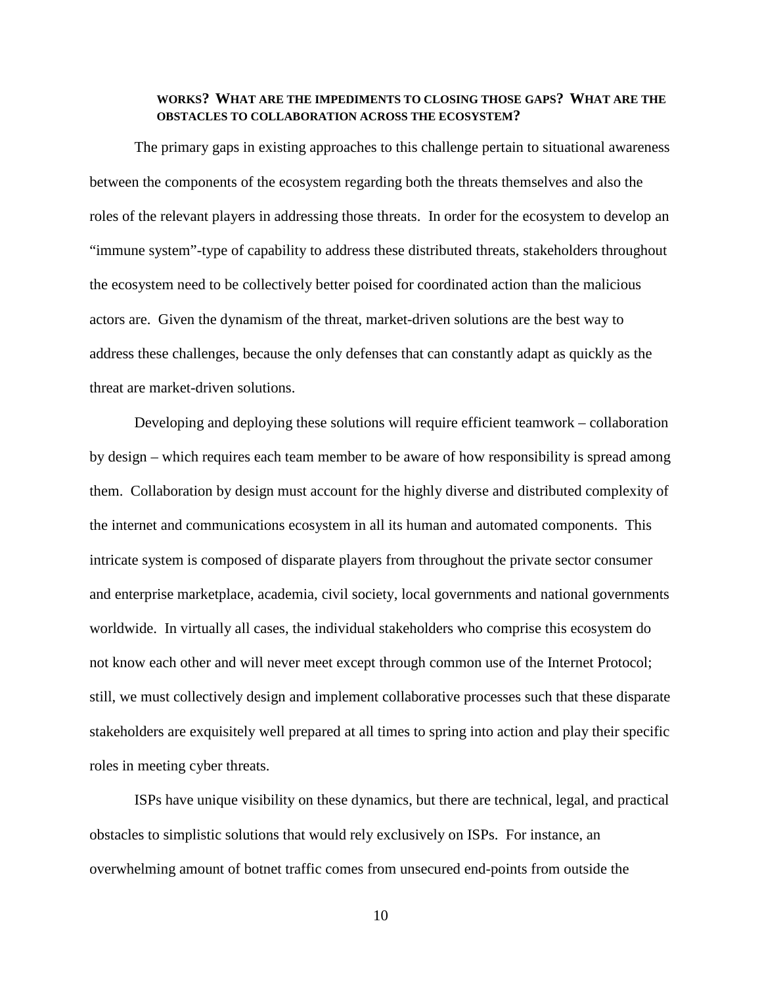#### **WORKS? WHAT ARE THE IMPEDIMENTS TO CLOSING THOSE GAPS? WHAT ARE THE OBSTACLES TO COLLABORATION ACROSS THE ECOSYSTEM?**

The primary gaps in existing approaches to this challenge pertain to situational awareness between the components of the ecosystem regarding both the threats themselves and also the roles of the relevant players in addressing those threats. In order for the ecosystem to develop an "immune system"-type of capability to address these distributed threats, stakeholders throughout the ecosystem need to be collectively better poised for coordinated action than the malicious actors are. Given the dynamism of the threat, market-driven solutions are the best way to address these challenges, because the only defenses that can constantly adapt as quickly as the threat are market-driven solutions.

Developing and deploying these solutions will require efficient teamwork – collaboration by design – which requires each team member to be aware of how responsibility is spread among them. Collaboration by design must account for the highly diverse and distributed complexity of the internet and communications ecosystem in all its human and automated components. This intricate system is composed of disparate players from throughout the private sector consumer and enterprise marketplace, academia, civil society, local governments and national governments worldwide. In virtually all cases, the individual stakeholders who comprise this ecosystem do not know each other and will never meet except through common use of the Internet Protocol; still, we must collectively design and implement collaborative processes such that these disparate stakeholders are exquisitely well prepared at all times to spring into action and play their specific roles in meeting cyber threats.

ISPs have unique visibility on these dynamics, but there are technical, legal, and practical obstacles to simplistic solutions that would rely exclusively on ISPs. For instance, an overwhelming amount of botnet traffic comes from unsecured end-points from outside the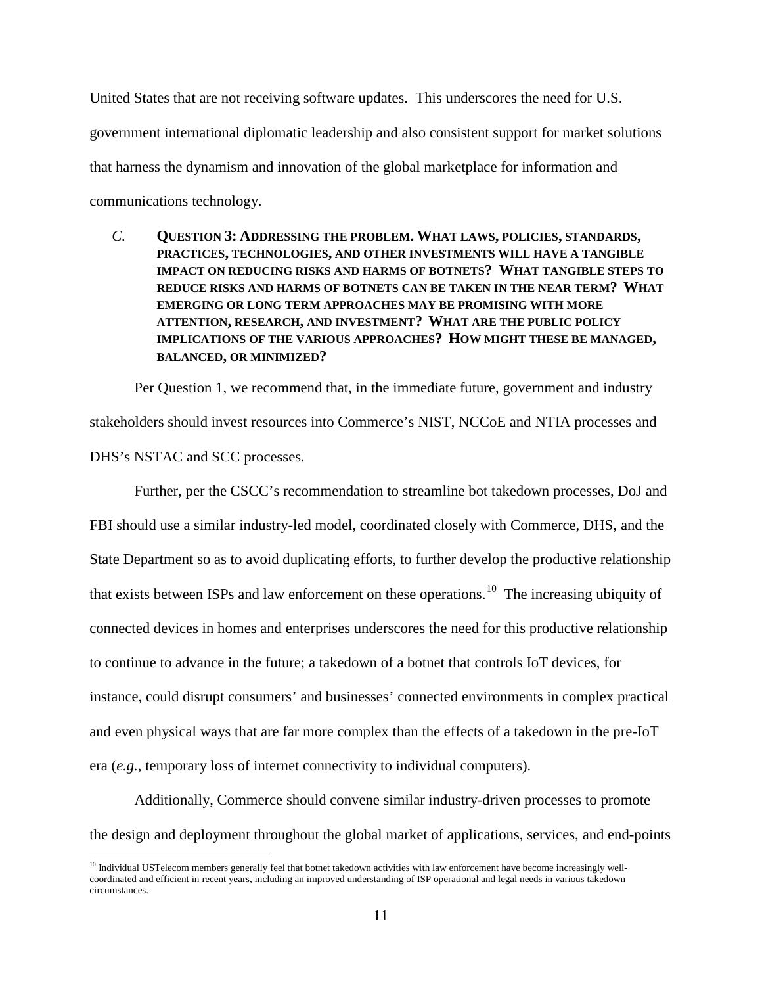United States that are not receiving software updates. This underscores the need for U.S. government international diplomatic leadership and also consistent support for market solutions that harness the dynamism and innovation of the global marketplace for information and communications technology.

<span id="page-13-0"></span>*C.* **QUESTION 3: ADDRESSING THE PROBLEM. WHAT LAWS, POLICIES, STANDARDS, PRACTICES, TECHNOLOGIES, AND OTHER INVESTMENTS WILL HAVE A TANGIBLE IMPACT ON REDUCING RISKS AND HARMS OF BOTNETS? WHAT TANGIBLE STEPS TO REDUCE RISKS AND HARMS OF BOTNETS CAN BE TAKEN IN THE NEAR TERM? WHAT EMERGING OR LONG TERM APPROACHES MAY BE PROMISING WITH MORE ATTENTION, RESEARCH, AND INVESTMENT? WHAT ARE THE PUBLIC POLICY IMPLICATIONS OF THE VARIOUS APPROACHES? HOW MIGHT THESE BE MANAGED, BALANCED, OR MINIMIZED?**

Per Question 1, we recommend that, in the immediate future, government and industry stakeholders should invest resources into Commerce's NIST, NCCoE and NTIA processes and DHS's NSTAC and SCC processes.

Further, per the CSCC's recommendation to streamline bot takedown processes, DoJ and FBI should use a similar industry-led model, coordinated closely with Commerce, DHS, and the State Department so as to avoid duplicating efforts, to further develop the productive relationship that exists between ISPs and law enforcement on these operations.<sup>[10](#page-13-1)</sup> The increasing ubiquity of connected devices in homes and enterprises underscores the need for this productive relationship to continue to advance in the future; a takedown of a botnet that controls IoT devices, for instance, could disrupt consumers' and businesses' connected environments in complex practical and even physical ways that are far more complex than the effects of a takedown in the pre-IoT era (*e.g.*, temporary loss of internet connectivity to individual computers).

Additionally, Commerce should convene similar industry-driven processes to promote the design and deployment throughout the global market of applications, services, and end-points

<span id="page-13-1"></span> $10$  Individual USTelecom members generally feel that botnet takedown activities with law enforcement have become increasingly wellcoordinated and efficient in recent years, including an improved understanding of ISP operational and legal needs in various takedown circumstances.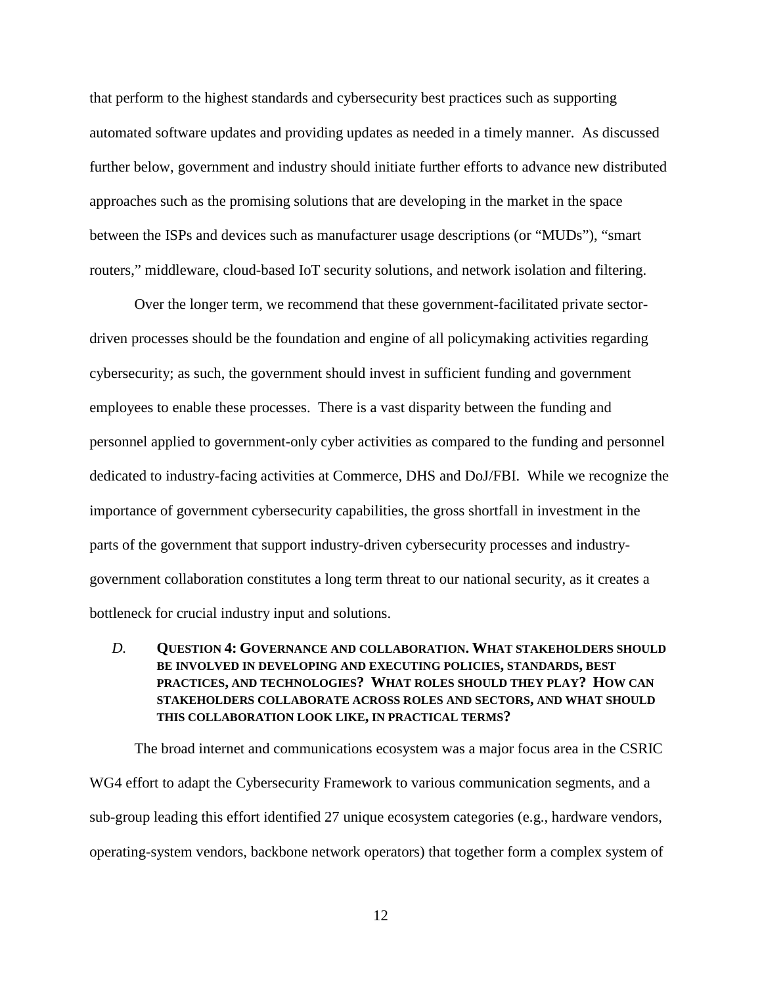that perform to the highest standards and cybersecurity best practices such as supporting automated software updates and providing updates as needed in a timely manner. As discussed further below, government and industry should initiate further efforts to advance new distributed approaches such as the promising solutions that are developing in the market in the space between the ISPs and devices such as manufacturer usage descriptions (or "MUDs"), "smart routers," middleware, cloud-based IoT security solutions, and network isolation and filtering.

Over the longer term, we recommend that these government-facilitated private sectordriven processes should be the foundation and engine of all policymaking activities regarding cybersecurity; as such, the government should invest in sufficient funding and government employees to enable these processes. There is a vast disparity between the funding and personnel applied to government-only cyber activities as compared to the funding and personnel dedicated to industry-facing activities at Commerce, DHS and DoJ/FBI. While we recognize the importance of government cybersecurity capabilities, the gross shortfall in investment in the parts of the government that support industry-driven cybersecurity processes and industrygovernment collaboration constitutes a long term threat to our national security, as it creates a bottleneck for crucial industry input and solutions.

## <span id="page-14-0"></span>*D.* **QUESTION 4: GOVERNANCE AND COLLABORATION. WHAT STAKEHOLDERS SHOULD BE INVOLVED IN DEVELOPING AND EXECUTING POLICIES, STANDARDS, BEST PRACTICES, AND TECHNOLOGIES? WHAT ROLES SHOULD THEY PLAY? HOW CAN STAKEHOLDERS COLLABORATE ACROSS ROLES AND SECTORS, AND WHAT SHOULD THIS COLLABORATION LOOK LIKE, IN PRACTICAL TERMS?**

The broad internet and communications ecosystem was a major focus area in the CSRIC WG4 effort to adapt the Cybersecurity Framework to various communication segments, and a sub-group leading this effort identified 27 unique ecosystem categories (e.g., hardware vendors, operating-system vendors, backbone network operators) that together form a complex system of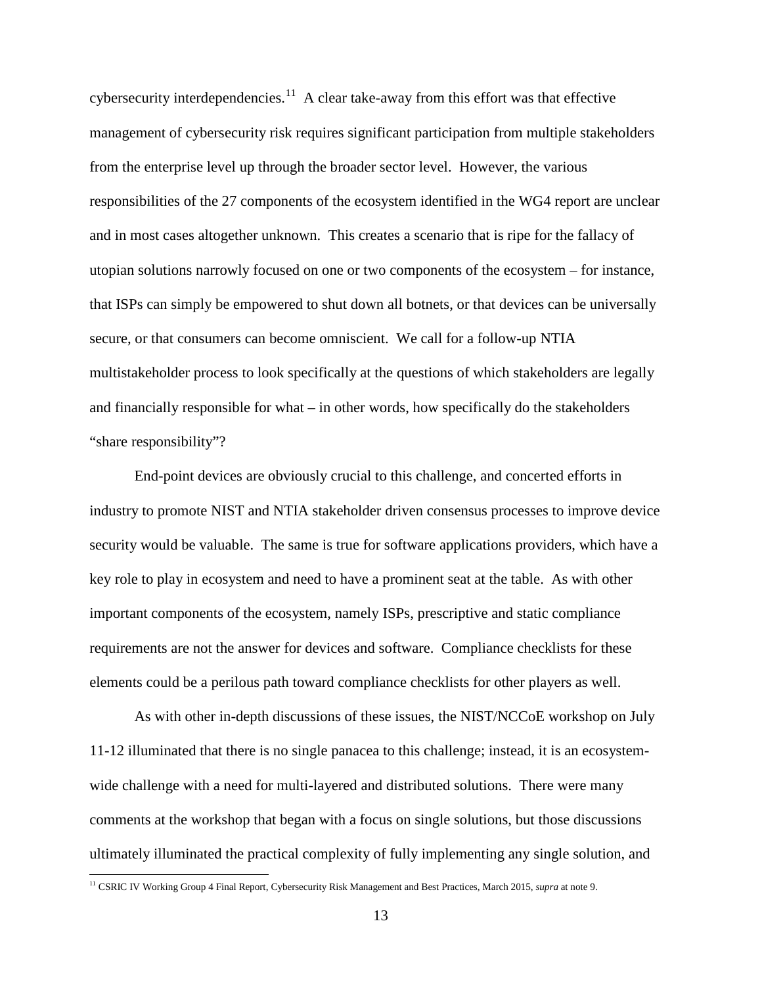cybersecurity interdependencies.<sup>[11](#page-15-0)</sup> A clear take-away from this effort was that effective management of cybersecurity risk requires significant participation from multiple stakeholders from the enterprise level up through the broader sector level. However, the various responsibilities of the 27 components of the ecosystem identified in the WG4 report are unclear and in most cases altogether unknown. This creates a scenario that is ripe for the fallacy of utopian solutions narrowly focused on one or two components of the ecosystem – for instance, that ISPs can simply be empowered to shut down all botnets, or that devices can be universally secure, or that consumers can become omniscient. We call for a follow-up NTIA multistakeholder process to look specifically at the questions of which stakeholders are legally and financially responsible for what – in other words, how specifically do the stakeholders "share responsibility"?

End-point devices are obviously crucial to this challenge, and concerted efforts in industry to promote NIST and NTIA stakeholder driven consensus processes to improve device security would be valuable. The same is true for software applications providers, which have a key role to play in ecosystem and need to have a prominent seat at the table. As with other important components of the ecosystem, namely ISPs, prescriptive and static compliance requirements are not the answer for devices and software. Compliance checklists for these elements could be a perilous path toward compliance checklists for other players as well.

As with other in-depth discussions of these issues, the NIST/NCCoE workshop on July 11-12 illuminated that there is no single panacea to this challenge; instead, it is an ecosystemwide challenge with a need for multi-layered and distributed solutions. There were many comments at the workshop that began with a focus on single solutions, but those discussions ultimately illuminated the practical complexity of fully implementing any single solution, and

<span id="page-15-0"></span><sup>11</sup> CSRIC IV Working Group 4 Final Report, Cybersecurity Risk Management and Best Practices, March 2015, *supra* at note 9.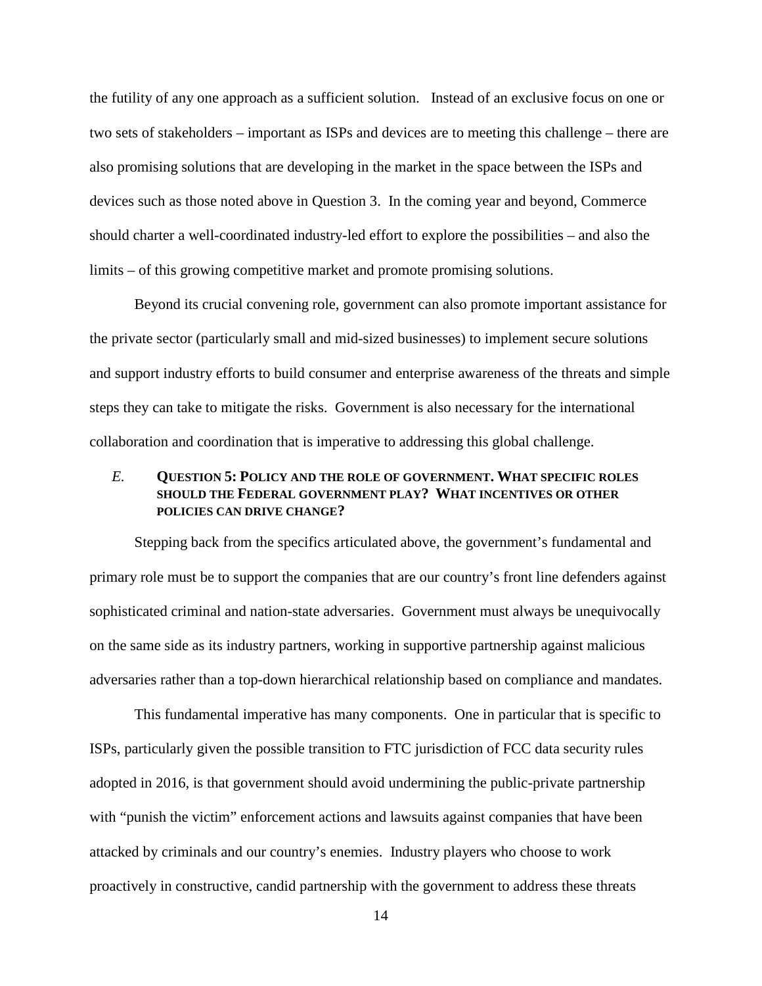the futility of any one approach as a sufficient solution. Instead of an exclusive focus on one or two sets of stakeholders – important as ISPs and devices are to meeting this challenge – there are also promising solutions that are developing in the market in the space between the ISPs and devices such as those noted above in Question 3. In the coming year and beyond, Commerce should charter a well-coordinated industry-led effort to explore the possibilities – and also the limits – of this growing competitive market and promote promising solutions.

Beyond its crucial convening role, government can also promote important assistance for the private sector (particularly small and mid-sized businesses) to implement secure solutions and support industry efforts to build consumer and enterprise awareness of the threats and simple steps they can take to mitigate the risks. Government is also necessary for the international collaboration and coordination that is imperative to addressing this global challenge.

## <span id="page-16-0"></span>*E.* **QUESTION 5: POLICY AND THE ROLE OF GOVERNMENT. WHAT SPECIFIC ROLES SHOULD THE FEDERAL GOVERNMENT PLAY? WHAT INCENTIVES OR OTHER POLICIES CAN DRIVE CHANGE?**

Stepping back from the specifics articulated above, the government's fundamental and primary role must be to support the companies that are our country's front line defenders against sophisticated criminal and nation-state adversaries. Government must always be unequivocally on the same side as its industry partners, working in supportive partnership against malicious adversaries rather than a top-down hierarchical relationship based on compliance and mandates.

This fundamental imperative has many components. One in particular that is specific to ISPs, particularly given the possible transition to FTC jurisdiction of FCC data security rules adopted in 2016, is that government should avoid undermining the public-private partnership with "punish the victim" enforcement actions and lawsuits against companies that have been attacked by criminals and our country's enemies. Industry players who choose to work proactively in constructive, candid partnership with the government to address these threats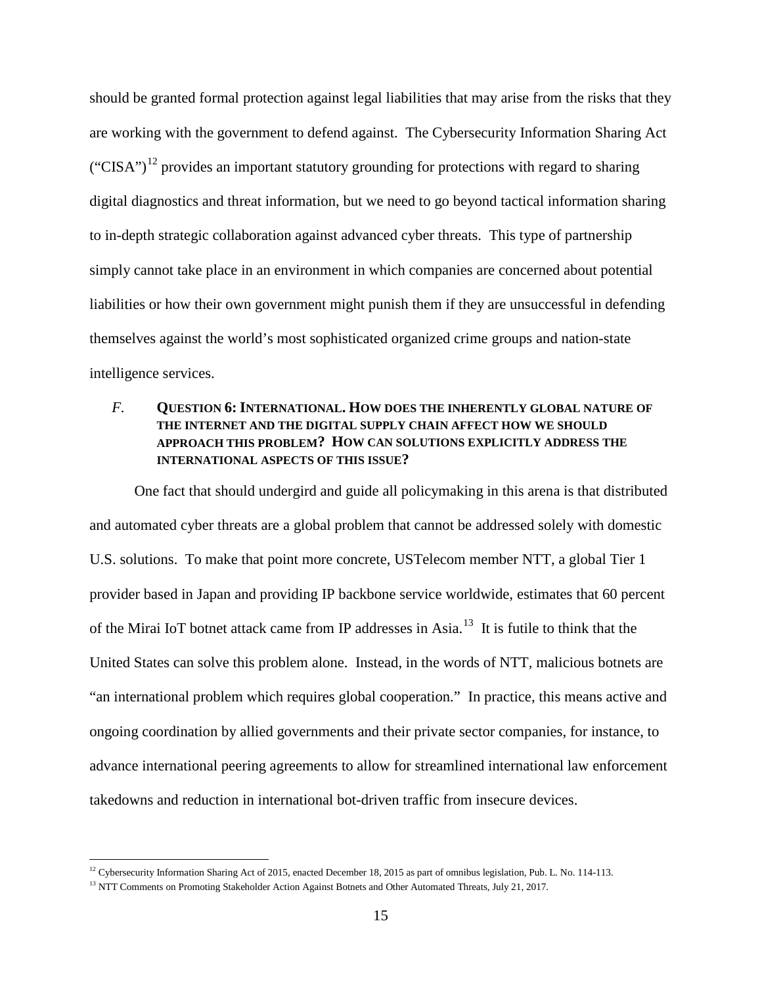should be granted formal protection against legal liabilities that may arise from the risks that they are working with the government to defend against. The Cybersecurity Information Sharing Act ("CISA")<sup>[12](#page-17-1)</sup> provides an important statutory grounding for protections with regard to sharing digital diagnostics and threat information, but we need to go beyond tactical information sharing to in-depth strategic collaboration against advanced cyber threats. This type of partnership simply cannot take place in an environment in which companies are concerned about potential liabilities or how their own government might punish them if they are unsuccessful in defending themselves against the world's most sophisticated organized crime groups and nation-state intelligence services.

# <span id="page-17-0"></span>*F.* **QUESTION 6: INTERNATIONAL. HOW DOES THE INHERENTLY GLOBAL NATURE OF THE INTERNET AND THE DIGITAL SUPPLY CHAIN AFFECT HOW WE SHOULD APPROACH THIS PROBLEM? HOW CAN SOLUTIONS EXPLICITLY ADDRESS THE INTERNATIONAL ASPECTS OF THIS ISSUE?**

One fact that should undergird and guide all policymaking in this arena is that distributed and automated cyber threats are a global problem that cannot be addressed solely with domestic U.S. solutions. To make that point more concrete, USTelecom member NTT, a global Tier 1 provider based in Japan and providing IP backbone service worldwide, estimates that 60 percent of the Mirai IoT botnet attack came from IP addresses in Asia.<sup>13</sup> It is futile to think that the United States can solve this problem alone. Instead, in the words of NTT, malicious botnets are "an international problem which requires global cooperation." In practice, this means active and ongoing coordination by allied governments and their private sector companies, for instance, to advance international peering agreements to allow for streamlined international law enforcement takedowns and reduction in international bot-driven traffic from insecure devices.

<span id="page-17-1"></span><sup>&</sup>lt;sup>12</sup> Cybersecurity Information Sharing Act of 2015, enacted December 18, 2015 as part of omnibus legislation, Pub. L. No. 114-113.

<span id="page-17-2"></span><sup>&</sup>lt;sup>13</sup> NTT Comments on Promoting Stakeholder Action Against Botnets and Other Automated Threats, July 21, 2017.